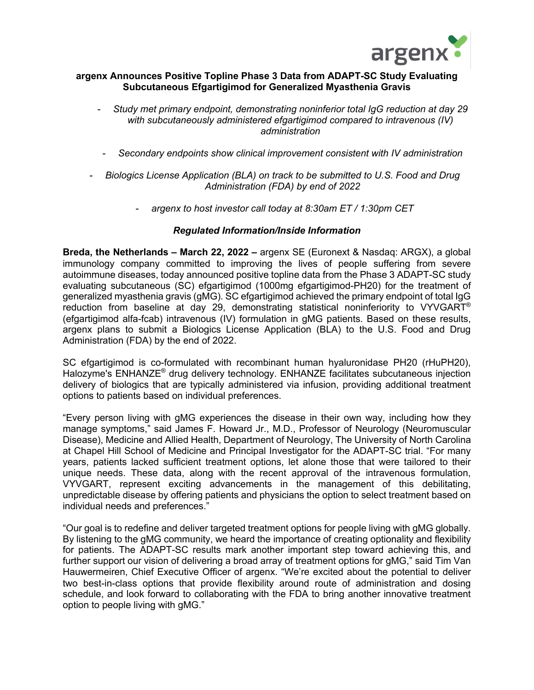

## **argenx Announces Positive Topline Phase 3 Data from ADAPT-SC Study Evaluating Subcutaneous Efgartigimod for Generalized Myasthenia Gravis**

- *Study met primary endpoint, demonstrating noninferior total IgG reduction at day 29 with subcutaneously administered efgartigimod compared to intravenous (IV) administration*
- *Secondary endpoints show clinical improvement consistent with IV administration*
- *Biologics License Application (BLA) on track to be submitted to U.S. Food and Drug Administration (FDA) by end of 2022*
	- *argenx to host investor call today at 8:30am ET / 1:30pm CET*

## *Regulated Information/Inside Information*

**Breda, the Netherlands – March 22, 2022 –** argenx SE (Euronext & Nasdaq: ARGX), a global immunology company committed to improving the lives of people suffering from severe autoimmune diseases, today announced positive topline data from the Phase 3 ADAPT-SC study evaluating subcutaneous (SC) efgartigimod (1000mg efgartigimod-PH20) for the treatment of generalized myasthenia gravis (gMG). SC efgartigimod achieved the primary endpoint of total IgG reduction from baseline at day 29, demonstrating statistical noninferiority to VYVGART<sup>®</sup> (efgartigimod alfa-fcab) intravenous (IV) formulation in gMG patients. Based on these results, argenx plans to submit a Biologics License Application (BLA) to the U.S. Food and Drug Administration (FDA) by the end of 2022.

SC efgartigimod is co-formulated with recombinant human hyaluronidase PH20 (rHuPH20), Halozyme's ENHANZE<sup>®</sup> drug delivery technology. ENHANZE facilitates subcutaneous injection delivery of biologics that are typically administered via infusion, providing additional treatment options to patients based on individual preferences.

"Every person living with gMG experiences the disease in their own way, including how they manage symptoms," said James F. Howard Jr., M.D., Professor of Neurology (Neuromuscular Disease), Medicine and Allied Health, Department of Neurology, The University of North Carolina at Chapel Hill School of Medicine and Principal Investigator for the ADAPT-SC trial. "For many years, patients lacked sufficient treatment options, let alone those that were tailored to their unique needs. These data, along with the recent approval of the intravenous formulation, VYVGART, represent exciting advancements in the management of this debilitating, unpredictable disease by offering patients and physicians the option to select treatment based on individual needs and preferences."

"Our goal is to redefine and deliver targeted treatment options for people living with gMG globally. By listening to the gMG community, we heard the importance of creating optionality and flexibility for patients. The ADAPT-SC results mark another important step toward achieving this, and further support our vision of delivering a broad array of treatment options for gMG," said Tim Van Hauwermeiren, Chief Executive Officer of argenx. "We're excited about the potential to deliver two best-in-class options that provide flexibility around route of administration and dosing schedule, and look forward to collaborating with the FDA to bring another innovative treatment option to people living with gMG."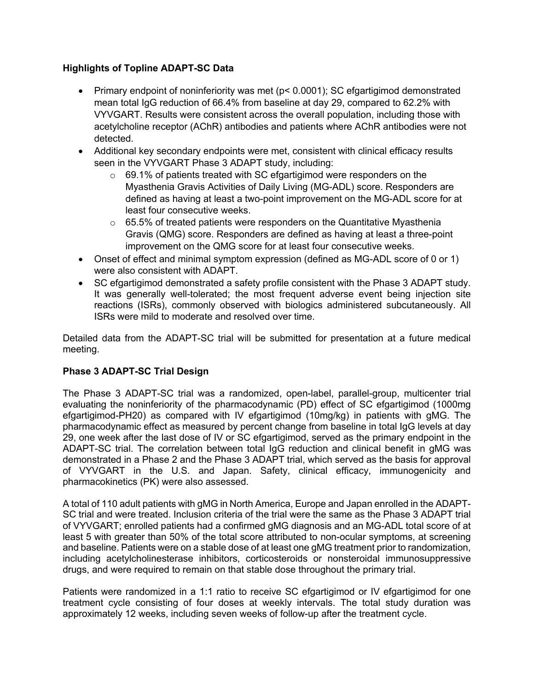# **Highlights of Topline ADAPT-SC Data**

- Primary endpoint of noninferiority was met (p< 0.0001); SC efgartigimod demonstrated mean total IgG reduction of 66.4% from baseline at day 29, compared to 62.2% with VYVGART. Results were consistent across the overall population, including those with acetylcholine receptor (AChR) antibodies and patients where AChR antibodies were not detected.
- Additional key secondary endpoints were met, consistent with clinical efficacy results seen in the VYVGART Phase 3 ADAPT study, including:
	- o 69.1% of patients treated with SC efgartigimod were responders on the Myasthenia Gravis Activities of Daily Living (MG-ADL) score. Responders are defined as having at least a two-point improvement on the MG-ADL score for at least four consecutive weeks.
	- $\circ$  65.5% of treated patients were responders on the Quantitative Myasthenia Gravis (QMG) score. Responders are defined as having at least a three-point improvement on the QMG score for at least four consecutive weeks.
- Onset of effect and minimal symptom expression (defined as MG-ADL score of 0 or 1) were also consistent with ADAPT.
- SC efgartigimod demonstrated a safety profile consistent with the Phase 3 ADAPT study. It was generally well-tolerated; the most frequent adverse event being injection site reactions (ISRs), commonly observed with biologics administered subcutaneously. All ISRs were mild to moderate and resolved over time.

Detailed data from the ADAPT-SC trial will be submitted for presentation at a future medical meeting.

# **Phase 3 ADAPT-SC Trial Design**

The Phase 3 ADAPT-SC trial was a randomized, open-label, parallel-group, multicenter trial evaluating the noninferiority of the pharmacodynamic (PD) effect of SC efgartigimod (1000mg efgartigimod-PH20) as compared with IV efgartigimod (10mg/kg) in patients with gMG. The pharmacodynamic effect as measured by percent change from baseline in total IgG levels at day 29, one week after the last dose of IV or SC efgartigimod, served as the primary endpoint in the ADAPT-SC trial. The correlation between total IgG reduction and clinical benefit in gMG was demonstrated in a Phase 2 and the Phase 3 ADAPT trial, which served as the basis for approval of VYVGART in the U.S. and Japan. Safety, clinical efficacy, immunogenicity and pharmacokinetics (PK) were also assessed.

A total of 110 adult patients with gMG in North America, Europe and Japan enrolled in the ADAPT-SC trial and were treated. Inclusion criteria of the trial were the same as the Phase 3 ADAPT trial of VYVGART; enrolled patients had a confirmed gMG diagnosis and an MG-ADL total score of at least 5 with greater than 50% of the total score attributed to non-ocular symptoms, at screening and baseline. Patients were on a stable dose of at least one gMG treatment prior to randomization, including acetylcholinesterase inhibitors, corticosteroids or nonsteroidal immunosuppressive drugs, and were required to remain on that stable dose throughout the primary trial.

Patients were randomized in a 1:1 ratio to receive SC efgartigimod or IV efgartigimod for one treatment cycle consisting of four doses at weekly intervals. The total study duration was approximately 12 weeks, including seven weeks of follow-up after the treatment cycle.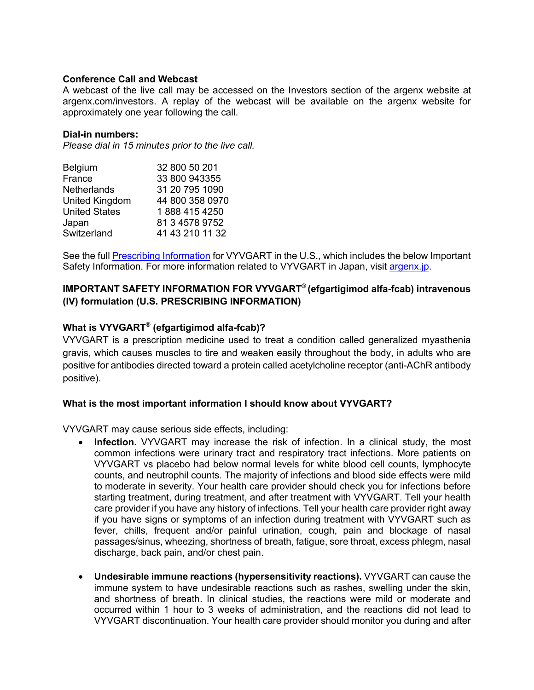## **Conference Call and Webcast**

A webcast of the live call may be accessed on the Investors section of the argenx website at argenx.com/investors. A replay of the webcast will be available on the argenx website for approximately one year following the call.

### **Dial-in numbers:**

*Please dial in 15 minutes prior to the live call.* 

| 32 800 50 201   |
|-----------------|
| 33 800 943355   |
| 31 20 795 1090  |
| 44 800 358 0970 |
| 1888 415 4250   |
| 81 3 4578 9752  |
| 41 43 210 11 32 |
|                 |

See the full Prescribing Information for VYVGART in the U.S., which includes the below Important Safety Information. For more information related to VYVGART in Japan, visit argenx.jp.

# **IMPORTANT SAFETY INFORMATION FOR VYVGART® (efgartigimod alfa-fcab) intravenous (IV) formulation (U.S. PRESCRIBING INFORMATION)**

# **What is VYVGART® (efgartigimod alfa-fcab)?**

VYVGART is a prescription medicine used to treat a condition called generalized myasthenia gravis, which causes muscles to tire and weaken easily throughout the body, in adults who are positive for antibodies directed toward a protein called acetylcholine receptor (anti-AChR antibody positive).

#### **What is the most important information I should know about VYVGART?**

VYVGART may cause serious side effects, including:

- **Infection.** VYVGART may increase the risk of infection. In a clinical study, the most common infections were urinary tract and respiratory tract infections. More patients on VYVGART vs placebo had below normal levels for white blood cell counts, lymphocyte counts, and neutrophil counts. The majority of infections and blood side effects were mild to moderate in severity. Your health care provider should check you for infections before starting treatment, during treatment, and after treatment with VYVGART. Tell your health care provider if you have any history of infections. Tell your health care provider right away if you have signs or symptoms of an infection during treatment with VYVGART such as fever, chills, frequent and/or painful urination, cough, pain and blockage of nasal passages/sinus, wheezing, shortness of breath, fatigue, sore throat, excess phlegm, nasal discharge, back pain, and/or chest pain.
- **Undesirable immune reactions (hypersensitivity reactions).** VYVGART can cause the immune system to have undesirable reactions such as rashes, swelling under the skin, and shortness of breath. In clinical studies, the reactions were mild or moderate and occurred within 1 hour to 3 weeks of administration, and the reactions did not lead to VYVGART discontinuation. Your health care provider should monitor you during and after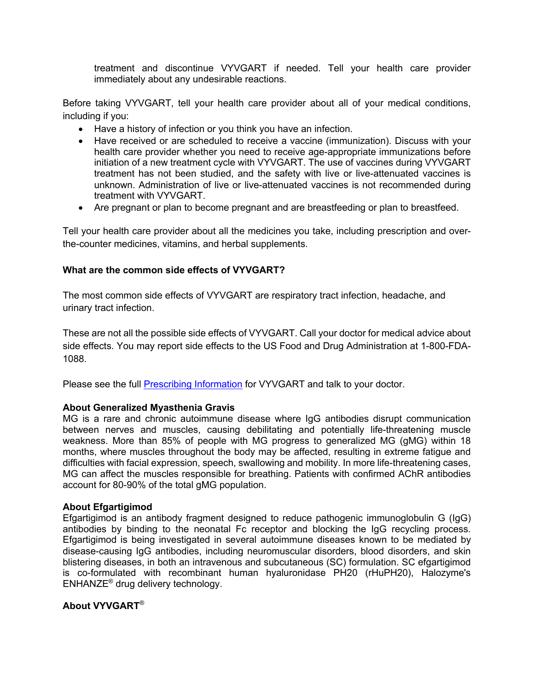treatment and discontinue VYVGART if needed. Tell your health care provider immediately about any undesirable reactions.

Before taking VYVGART, tell your health care provider about all of your medical conditions, including if you:

- Have a history of infection or you think you have an infection.
- Have received or are scheduled to receive a vaccine (immunization). Discuss with your health care provider whether you need to receive age-appropriate immunizations before initiation of a new treatment cycle with VYVGART. The use of vaccines during VYVGART treatment has not been studied, and the safety with live or live-attenuated vaccines is unknown. Administration of live or live-attenuated vaccines is not recommended during treatment with VYVGART.
- Are pregnant or plan to become pregnant and are breastfeeding or plan to breastfeed.

Tell your health care provider about all the medicines you take, including prescription and overthe-counter medicines, vitamins, and herbal supplements.

## **What are the common side effects of VYVGART?**

The most common side effects of VYVGART are respiratory tract infection, headache, and urinary tract infection.

These are not all the possible side effects of VYVGART. Call your doctor for medical advice about side effects. You may report side effects to the US Food and Drug Administration at 1-800-FDA-1088.

Please see the full Prescribing Information for VYVGART and talk to your doctor.

#### **About Generalized Myasthenia Gravis**

MG is a rare and chronic autoimmune disease where IgG antibodies disrupt communication between nerves and muscles, causing debilitating and potentially life-threatening muscle weakness. More than 85% of people with MG progress to generalized MG (gMG) within 18 months, where muscles throughout the body may be affected, resulting in extreme fatigue and difficulties with facial expression, speech, swallowing and mobility. In more life-threatening cases, MG can affect the muscles responsible for breathing. Patients with confirmed AChR antibodies account for 80-90% of the total gMG population.

#### **About Efgartigimod**

Efgartigimod is an antibody fragment designed to reduce pathogenic immunoglobulin G (IgG) antibodies by binding to the neonatal Fc receptor and blocking the IgG recycling process. Efgartigimod is being investigated in several autoimmune diseases known to be mediated by disease-causing IgG antibodies, including neuromuscular disorders, blood disorders, and skin blistering diseases, in both an intravenous and subcutaneous (SC) formulation. SC efgartigimod is co-formulated with recombinant human hyaluronidase PH20 (rHuPH20), Halozyme's ENHANZE® drug delivery technology.

### **About VYVGART***®*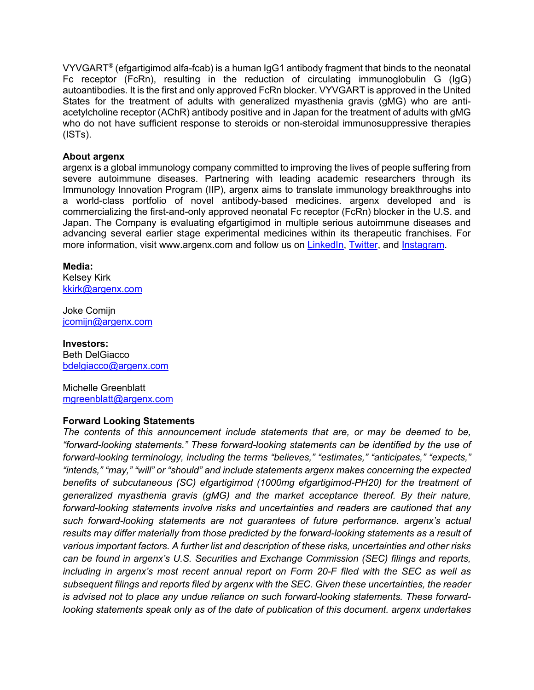VYVGART*®* (efgartigimod alfa-fcab) is a human IgG1 antibody fragment that binds to the neonatal Fc receptor (FcRn), resulting in the reduction of circulating immunoglobulin G (IgG) autoantibodies. It is the first and only approved FcRn blocker. VYVGART is approved in the United States for the treatment of adults with generalized myasthenia gravis (gMG) who are antiacetylcholine receptor (AChR) antibody positive and in Japan for the treatment of adults with gMG who do not have sufficient response to steroids or non-steroidal immunosuppressive therapies (ISTs).

## **About argenx**

argenx is a global immunology company committed to improving the lives of people suffering from severe autoimmune diseases. Partnering with leading academic researchers through its Immunology Innovation Program (IIP), argenx aims to translate immunology breakthroughs into a world-class portfolio of novel antibody-based medicines. argenx developed and is commercializing the first-and-only approved neonatal Fc receptor (FcRn) blocker in the U.S. and Japan. The Company is evaluating efgartigimod in multiple serious autoimmune diseases and advancing several earlier stage experimental medicines within its therapeutic franchises. For more information, visit www.argenx.com and follow us on LinkedIn, Twitter, and Instagram.

#### **Media:**

Kelsey Kirk kkirk@argenx.com

Joke Comijn jcomijn@argenx.com

**Investors:** Beth DelGiacco bdelgiacco@argenx.com

Michelle Greenblatt mgreenblatt@argenx.com

#### **Forward Looking Statements**

*The contents of this announcement include statements that are, or may be deemed to be, "forward-looking statements." These forward-looking statements can be identified by the use of forward-looking terminology, including the terms "believes," "estimates," "anticipates," "expects," "intends," "may," "will" or "should" and include statements argenx makes concerning the expected benefits of subcutaneous (SC) efgartigimod (1000mg efgartigimod-PH20) for the treatment of generalized myasthenia gravis (gMG) and the market acceptance thereof. By their nature, forward-looking statements involve risks and uncertainties and readers are cautioned that any such forward-looking statements are not guarantees of future performance. argenx's actual results may differ materially from those predicted by the forward-looking statements as a result of various important factors. A further list and description of these risks, uncertainties and other risks can be found in argenx's U.S. Securities and Exchange Commission (SEC) filings and reports, including in argenx's most recent annual report on Form 20-F filed with the SEC as well as subsequent filings and reports filed by argenx with the SEC. Given these uncertainties, the reader is advised not to place any undue reliance on such forward-looking statements. These forwardlooking statements speak only as of the date of publication of this document. argenx undertakes*